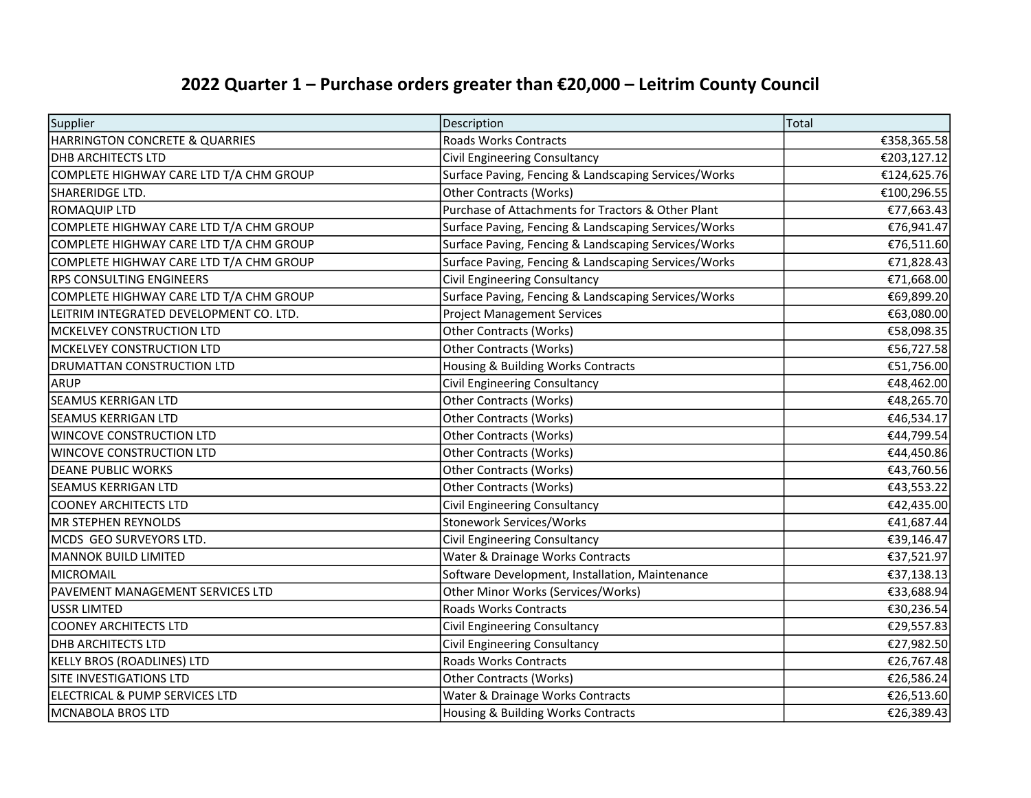## 2022 Quarter 1 – Purchase orders greater than €20,000 – Leitrim County Council

| Supplier                                | Description                                          | Total       |
|-----------------------------------------|------------------------------------------------------|-------------|
| HARRINGTON CONCRETE & QUARRIES          | Roads Works Contracts                                | €358,365.58 |
| <b>DHB ARCHITECTS LTD</b>               | Civil Engineering Consultancy                        | €203,127.12 |
| COMPLETE HIGHWAY CARE LTD T/A CHM GROUP | Surface Paving, Fencing & Landscaping Services/Works | €124,625.76 |
| SHARERIDGE LTD.                         | <b>Other Contracts (Works)</b>                       | €100,296.55 |
| ROMAQUIP LTD                            | Purchase of Attachments for Tractors & Other Plant   | €77,663.43  |
| COMPLETE HIGHWAY CARE LTD T/A CHM GROUP | Surface Paving, Fencing & Landscaping Services/Works | €76,941.47  |
| COMPLETE HIGHWAY CARE LTD T/A CHM GROUP | Surface Paving, Fencing & Landscaping Services/Works | €76,511.60  |
| COMPLETE HIGHWAY CARE LTD T/A CHM GROUP | Surface Paving, Fencing & Landscaping Services/Works | €71,828.43  |
| <b>RPS CONSULTING ENGINEERS</b>         | Civil Engineering Consultancy                        | €71,668.00  |
| COMPLETE HIGHWAY CARE LTD T/A CHM GROUP | Surface Paving, Fencing & Landscaping Services/Works | €69,899.20  |
| LEITRIM INTEGRATED DEVELOPMENT CO. LTD. | <b>Project Management Services</b>                   | €63,080.00  |
| MCKELVEY CONSTRUCTION LTD               | <b>Other Contracts (Works)</b>                       | €58,098.35  |
| MCKELVEY CONSTRUCTION LTD               | <b>Other Contracts (Works)</b>                       | €56,727.58  |
| <b>DRUMATTAN CONSTRUCTION LTD</b>       | Housing & Building Works Contracts                   | €51,756.00  |
| ARUP                                    | Civil Engineering Consultancy                        | €48,462.00  |
| <b>SEAMUS KERRIGAN LTD</b>              | Other Contracts (Works)                              | €48,265.70  |
| <b>SEAMUS KERRIGAN LTD</b>              | <b>Other Contracts (Works)</b>                       | €46,534.17  |
| <b>WINCOVE CONSTRUCTION LTD</b>         | <b>Other Contracts (Works)</b>                       | €44,799.54  |
| <b>WINCOVE CONSTRUCTION LTD</b>         | <b>Other Contracts (Works)</b>                       | €44,450.86  |
| <b>DEANE PUBLIC WORKS</b>               | <b>Other Contracts (Works)</b>                       | €43,760.56  |
| SEAMUS KERRIGAN LTD                     | <b>Other Contracts (Works)</b>                       | €43,553.22  |
| <b>COONEY ARCHITECTS LTD</b>            | Civil Engineering Consultancy                        | €42,435.00  |
| <b>MR STEPHEN REYNOLDS</b>              | <b>Stonework Services/Works</b>                      | €41,687.44  |
| MCDS GEO SURVEYORS LTD.                 | Civil Engineering Consultancy                        | €39,146.47  |
| MANNOK BUILD LIMITED                    | Water & Drainage Works Contracts                     | €37,521.97  |
| Imicromail                              | Software Development, Installation, Maintenance      | €37,138.13  |
| PAVEMENT MANAGEMENT SERVICES LTD        | Other Minor Works (Services/Works)                   | €33,688.94  |
| USSR LIMTED                             | Roads Works Contracts                                | €30,236.54  |
| COONEY ARCHITECTS LTD                   | Civil Engineering Consultancy                        | €29,557.83  |
| <b>DHB ARCHITECTS LTD</b>               | Civil Engineering Consultancy                        | €27,982.50  |
| <b>KELLY BROS (ROADLINES) LTD</b>       | Roads Works Contracts                                | €26,767.48  |
| SITE INVESTIGATIONS LTD                 | <b>Other Contracts (Works)</b>                       | €26,586.24  |
| ELECTRICAL & PUMP SERVICES LTD          | Water & Drainage Works Contracts                     | €26,513.60  |
| MCNABOLA BROS LTD                       | Housing & Building Works Contracts                   | €26,389.43  |